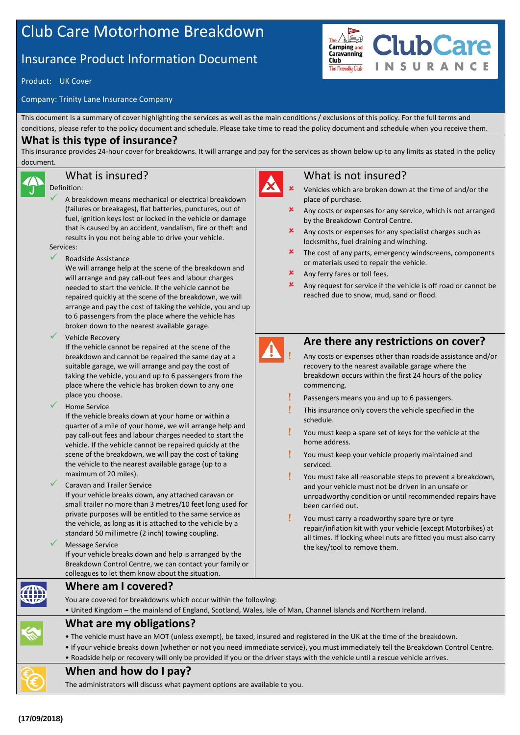# Club Care Motorhome Breakdown

## Insurance Product Information Document

Product: UK Cover

Company: Trinity Lane Insurance Company

This document is a summary of cover highlighting the services as well as the main conditions / exclusions of this policy. For the full terms and conditions, please refer to the policy document and schedule. Please take time to read the policy document and schedule when you receive them.

#### **What is this type of insurance?**

This insurance provides 24-hour cover for breakdowns. It will arrange and pay for the services as shown below up to any limits as stated in the policy document.

#### What is insured?

Definition:

- A breakdown means mechanical or electrical breakdown (failures or breakages), flat batteries, punctures, out of fuel, ignition keys lost or locked in the vehicle or damage that is caused by an accident, vandalism, fire or theft and results in you not being able to drive your vehicle. Services:
- Roadside Assistance

We will arrange help at the scene of the breakdown and will arrange and pay call-out fees and labour charges needed to start the vehicle. If the vehicle cannot be repaired quickly at the scene of the breakdown, we will arrange and pay the cost of taking the vehicle, you and up to 6 passengers from the place where the vehicle has broken down to the nearest available garage.

Vehicle Recovery

If the vehicle cannot be repaired at the scene of the breakdown and cannot be repaired the same day at a suitable garage, we will arrange and pay the cost of taking the vehicle, you and up to 6 passengers from the place where the vehicle has broken down to any one place you choose.

Home Service

If the vehicle breaks down at your home or within a quarter of a mile of your home, we will arrange help and pay call-out fees and labour charges needed to start the vehicle. If the vehicle cannot be repaired quickly at the scene of the breakdown, we will pay the cost of taking the vehicle to the nearest available garage (up to a maximum of 20 miles).

Caravan and Trailer Service

If your vehicle breaks down, any attached caravan or small trailer no more than 3 metres/10 feet long used for private purposes will be entitled to the same service as the vehicle, as long as it is attached to the vehicle by a standard 50 millimetre (2 inch) towing coupling.

 Message Service If your vehicle breaks down and help is arranged by the Breakdown Control Centre, we can contact your family or colleagues to let them know about the situation.



The **Camping and**<br>Carnoing and

The Friendly Club

Club

 Vehicles which are broken down at the time of and/or the place of purchase.

**ClubCare** 

SURANCE

- Any costs or expenses for any service, which is not arranged by the Breakdown Control Centre.
- Any costs or expenses for any specialist charges such as locksmiths, fuel draining and winching.
- The cost of any parts, emergency windscreens, components or materials used to repair the vehicle.
- **x** Any ferry fares or toll fees.
- Any request for service if the vehicle is off road or cannot be reached due to snow, mud, sand or flood.



#### **Are there any restrictions on cover?**

- Any costs or expenses other than roadside assistance and/or recovery to the nearest available garage where the breakdown occurs within the first 24 hours of the policy commencing.
- Passengers means you and up to 6 passengers.
- This insurance only covers the vehicle specified in the schedule.
- You must keep a spare set of keys for the vehicle at the home address.
- You must keep your vehicle properly maintained and serviced.
- You must take all reasonable steps to prevent a breakdown, and your vehicle must not be driven in an unsafe or unroadworthy condition or until recommended repairs have been carried out.
- You must carry a roadworthy spare tyre or tyre repair/inflation kit with your vehicle (except Motorbikes) at all times. If locking wheel nuts are fitted you must also carry the key/tool to remove them.

**Where am I covered?**

You are covered for breakdowns which occur within the following:





- The vehicle must have an MOT (unless exempt), be taxed, insured and registered in the UK at the time of the breakdown.
- If your vehicle breaks down (whether or not you need immediate service), you must immediately tell the Breakdown Control Centre.
- Roadside help or recovery will only be provided if you or the driver stays with the vehicle until a rescue vehicle arrives.

### **When and how do I pay?**

**What are my obligations?**

The administrators will discuss what payment options are available to you.